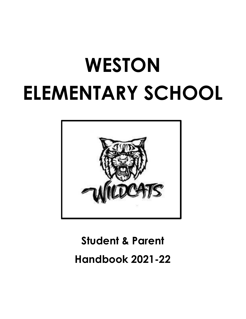# **WESTON ELEMENTARY SCHOOL**



# **Student & Parent Handbook 2021-22**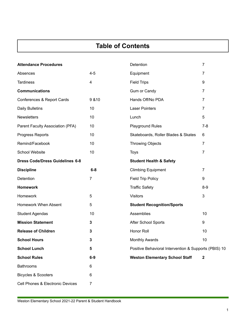# **Table of Contents**

| <b>Attendance Procedures</b>           |                | Detention                                             | $\overline{7}$   |
|----------------------------------------|----------------|-------------------------------------------------------|------------------|
| Absences                               | $4 - 5$        | Equipment                                             | 7                |
| <b>Tardiness</b>                       | 4              | <b>Field Trips</b>                                    | 9                |
| <b>Communications</b>                  |                | Gum or Candy                                          | 7                |
| Conferences & Report Cards             | 9 & 10         | Hands Off/No PDA                                      | $\overline{7}$   |
| Daily Bulletins                        | 10             | <b>Laser Pointers</b>                                 | $\overline{7}$   |
| <b>Newsletters</b>                     | 10             | Lunch                                                 | 5                |
| Parent Faculty Association (PFA)       | 10             | Playground Rules                                      | $7 - 8$          |
| Progress Reports                       | 10             | Skateboards, Roller Blades & Skates                   | 6                |
| Remind/Facebook                        | 10             | <b>Throwing Objects</b>                               | $\overline{7}$   |
| <b>School Website</b>                  | 10             | <b>Toys</b>                                           | $\overline{7}$   |
| <b>Dress Code/Dress Guidelines 6-8</b> |                | <b>Student Health &amp; Safety</b>                    |                  |
| <b>Discipline</b>                      | $6-8$          | <b>Climbing Equipment</b>                             | $\overline{7}$   |
| Detention                              | $\overline{7}$ | <b>Field Trip Policy</b>                              | 9                |
| <b>Homework</b>                        |                | <b>Traffic Safety</b>                                 | $8-9$            |
| Homework                               | 5              | <b>Visitors</b>                                       | $\mathbf{3}$     |
| <b>Homework When Absent</b>            | 5              | <b>Student Recognition/Sports</b>                     |                  |
| <b>Student Agendas</b>                 | 10             | Assemblies                                            | 10               |
| <b>Mission Statement</b>               | 3              | After School Sports                                   | 9                |
| <b>Release of Children</b>             | 3              | Honor Roll                                            | 10               |
| <b>School Hours</b>                    | 3              | <b>Monthly Awards</b>                                 | 10               |
| <b>School Lunch</b>                    | 5              | Positive Behavioral Intervention & Supports (PBIS) 10 |                  |
| <b>School Rules</b>                    | $6-9$          | <b>Weston Elementary School Staff</b>                 | $\boldsymbol{2}$ |
| <b>Bathrooms</b>                       | 6              |                                                       |                  |
| <b>Bicycles &amp; Scooters</b>         | 6              |                                                       |                  |
| Cell Phones & Electronic Devices       | 7              |                                                       |                  |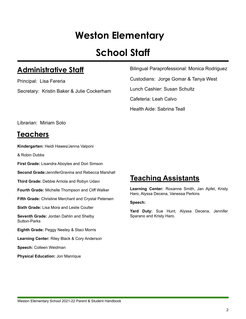# **Weston Elementary**

# **School Staff**

## **Administrative Staff**

Principal: Lisa Fereria Secretary: Kristin Baker & Julie Cockerham Bilingual Paraprofessional: Monica Rodriguez

Custodians: Jorge Gomar & Tanya West

Lunch Cashier: Susan Schultz

Cafeteria: Leah Calvo

Health Aide: Sabrina Teall

Librarian: Miriam Soto

## **Teachers**

**Kindergarten:** Heidi Hawes/Jenna Valponi

& Robin Dubbs

**First Grade:** Lisandra Aboytes and Dori Simson

**Second Grade:**JenniferGravina and Rebecca Marshall

**Third Grade:** Debbie Arriola and Robyn Udavi

**Fourth Grade:** Michelle Thompson and Cliff Walker

**Fifth Grade:** Christine Merchant and Crystal Petersen

**Sixth Grade:** Lisa Mora and Leslie Coulter

**Seventh Grade:** Jordan Dahlin and Shelby Sutton-Parks

**Eighth Grade:** Peggy Neeley & Staci Morris

**Learning Center:** Riley Black & Cory Anderson

**Speech:** Colleen Weidman

**Physical Education:** Jon Manrique

# **Teaching Assistants**

**Learning Center:** Roxanne Smith, Jan Apfel, Kristy Haro, Alyssa Decena, Vanessa Perkins

#### **Speech:**

**Yard Duty:** Sue Hunt, Alyssa Decena, Jennifer Sparano and Kristy Haro.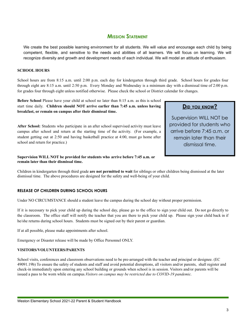#### **MISSION STATEMENT**

We create the best possible learning environment for all students. We will value and encourage each child by being competent, flexible, and sensitive to the needs and abilities of all learners. We will focus on learning. We will recognize diversity and growth and development needs of each individual. We will model an attitude of enthusiasm.

#### **SCHOOL HOURS**

School hours are from 8:15 a.m. until 2:00 p.m. each day for kindergarten through third grade. School hours for grades four through eight are 8:15 a.m. until 2:50 p.m. Every Monday and Wednesday is a minimum day with a dismissal time of 2:00 p.m. for grades four through eight unless notified otherwise. Please check the school or District calendar for changes.

**Before School** Please have your child at school no later than 8:15 a.m. as this is school start time daily. **Children should NOT arrive earlier than 7:45 a.m. unless having breakfast, or remain on campus after their dismissal time.**

**After School:** Students who participate in an after school supervised activity must leave campus after school and return at the starting time of the activity. (For example, a student getting out at 2:50 and having basketball practice at 4:00, must go home after school and return for practice.)

#### **Supervision WILL NOT be provided for students who arrive before 7:45 a.m. or remain later than their dismissal time.**

Children in kindergarten through third grade **are not permitted to wait** for siblings or other children being dismissed at the later dismissal time. The above procedures are designed for the safety and well-being of your child.

#### **RELEASE OF CHILDREN DURING SCHOOL HOURS**

Under NO CIRCUMSTANCE should a student leave the campus during the school day without proper permission.

If it is necessary to pick your child up during the school day, please go to the office to sign your child out. Do not go directly to the classroom. The office staff will notify the teacher that you are there to pick your child up. Please sign your child back in if he/she returns during school hours. Students must be signed out by their parent or guardian.

If at all possible, please make appointments after school.

Emergency or Disaster release will be made by Office Personnel ONLY.

#### **VISITORS/VOLUNTEERS/PARENTS**

School visits, conferences and classroom observations need to be pre-arranged with the teacher and principal or designee. (EC 49091.19b) To ensure the safety of students and staff and avoid potential disruptions, all visitors and/or parents, shall register and check-in immediately upon entering any school building or grounds when school is in session. Visitors and/or parents will be issued a pass to be worn while on campus.*Visitors on campus may be restricted due to COVID-19 pandemic.*

#### DID YOU KNOW?

Supervision WILL NOT be provided for students who arrive before 7:45 a.m. or remain later than their dismissal time.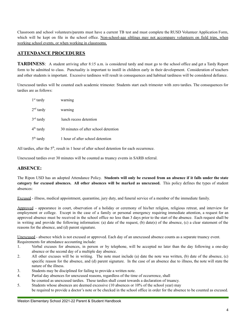Classroom and school volunteers/parents must have a current TB test and must complete the RUSD Volunteer Application Form, which will be kept on file in the school office. Non-school-age siblings may not accompany volunteers on field trips, when working school events, or when working in classrooms.

#### **ATTENDANCE PROCEDURES**

**TARDINESS**: A student arriving after 8:15 a.m. is considered tardy and must go to the school office and get a Tardy Report form to be admitted to class. Punctuality is important to instill in children early in their development. Consideration of teachers and other students is important. Excessive tardiness will result in consequences and habitual tardiness will be considered defiance.

Unexcused tardies will be counted each academic trimester. Students start each trimester with zero tardies. The consequences for tardies are as follows:

| $1st$ tardy | warning                              |
|-------------|--------------------------------------|
| $2nd$ tardy | warning                              |
| $3rd$ tardy | lunch recess detention               |
| $4th$ tardy | 30 minutes of after school detention |
| $5th$ tardy | 1 hour of after school detention     |

All tardies, after the  $5<sup>th</sup>$ , result in 1 hour of after school detention for each occurrence.

Unexcused tardies over 30 minutes will be counted as truancy events in SARB referral.

#### **ABSENCE:**

The Ripon USD has an adopted Attendance Policy. **Students will only be excused from an absence if it falls under the state category for excused absences. All other absences will be marked as unexcused.** This policy defines the types of student absences:

Excused - illness, medical appointment, quarantine, jury duty, and funeral service of a member of the immediate family.

Approved - appearance in court, observation of a holiday or ceremony of his/her religion, religious retreat, and interview for employment or college. Except in the case of a family or personal emergency requiring immediate attention, a request for an approved absence must be received in the school office no less than 3 days prior to the start of the absence. Each request shall be in writing and provide the following information: (a) date of the request, (b) date(s) of the absence, (c) a clear statement of the reasons for the absence, and (d) parent signature.

Unexcused - absence which is not excused or approved. Each day of an unexcused absence counts as a separate truancy event. Requirements for attendance accounting include:

- 1. Verbal excuses for absences, in person or by telephone, will be accepted no later than the day following a one-day absence or the second day of a multiple day absence.
- 2. All other excuses will be in writing. The note must include (a) date the note was written, (b) date of the absence, (c) specific reason for the absence, and (d) parent signature. In the case of an absence due to illness, the note will state the nature of the illness.
- 3. Students may be disciplined for failing to provide a written note.
- 4. Partial day absences for unexcused reasons, regardless of the time of occurrence, shall
- be counted as unexcused tardies. These tardies shall count towards a declaration of truancy.
- 5. Students whose absences are deemed excessive (10 absences or 10% of the school year) may be required to provide a doctor's note or be checked in the school office in order for the absence to be counted as excused.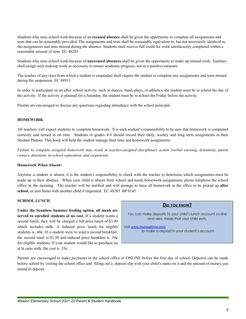Students who miss school work because of an **excused absence** shall be given the opportunity to complete all assignments and tests that can be reasonably provided. The assignments and tests shall be reasonably equivalent to, but not necessarily identical to, the assignments and tests missed during the absence. Students shall receive full credit for work satisfactorily completed within a reasonable amount of time. EC 48205

Students who miss school work because of **unexcused absences** shall be given the opportunity to make up missed work. Teachers shall assign such makeup work as necessary to ensure academic progress, not as a punitive measure.

The teacher of any class from which a student is suspended shall require the student to complete any assignments and tests missed during the suspension. EC 48913

In order to participate in an after school activity, such as dances, band, plays, or athletics, the student must be in school the day of the activity. If the activity is planned for a Saturday, the student must be in school the Friday before the activity.

Parents are encouraged to discuss any questions regarding attendance with the school principal.

#### **HOMEWORK**

All teachers will expect students to complete homework. It is each student's responsibility to be sure that homework is completed correctly and turned in on time. Students in grades 4-8 should record their daily, weekly and long term assignments in their Student Planner. This book will help the student manage their time and homework assignments.

Failure to complete assigned homework may result in teacher-assigned disciplinary action (verbal warning, detention), parent *contact, detention, in-school separation, and suspension.*

#### **Homework When Absent:**

Anytime a student is absent, it is the student's responsibility to check with the teacher to determine which assignments must be made up in their absence. When your child is absent from school and needs homework assignments, please telephone the school office in the morning. The teacher will be notified and will arrange to have all homework in the office to be picked up **after school,** or sent home with another child if requested. EC 48205 BP 6145

#### **SCHOOL LUNCH**

**Under the Seamless Summer feeding option, all meals are served to enrolled students at no cost.** If a student wants a second lunch, they will be charged a full price lunch of \$3.00 which includes milk. A reduced price lunch for eligible students is .40¢. If a student were to want a second breakfast, the second meal is \$1.50 and reduced price breakfast is  $.30¢$ for eligible students. If your student would like to purchase an al la carte milk, the cost is  $.35¢$ .



Parents are encouraged to make payments in the school office or ONLINE before the first day of school. Deposits can be made before school by visiting the school office and filling out a deposit slip with your child's name on it and the amount of money you intend to deposit.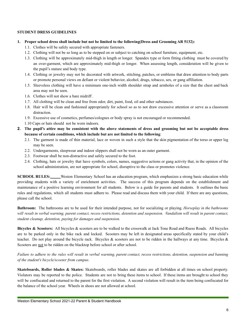#### **STUDENT DRESS GUIDELINES**

#### **1. Proper school dress shall include but not be limited to the following(Dress and Grooming AR 5132):**

- 1.1. Clothes will be safely secured with appropriate fasteners.
- 1.2. Clothing will not be so long as to be stepped on or subject to catching on school furniture, equipment, etc.
- 1.3. Clothing will be approximately mid-thigh in length or longer. Spandex type or form fitting clothing must be covered by an over-garment, which are approximately mid-thigh or longer. When assessing length, consideration will be given to the pupil's stature and body type.
- 1.4. Clothing or jewelry may not be decorated with artwork, stitching, patches, or emblems that draw attention to body parts or promote personal views on defiant or violent behavior, alcohol, drugs, tobacco, sex, or gang affiliation.
- 1.5. Sleeveless clothing will have a minimum one-inch width shoulder strap and armholes of a size that the chest and back area may not be seen.
- 1.6. Clothes will not show a bare midriff .
- 1.7. All clothing will be clean and free from odor, dirt, paint, food, oil and other substances.
- 1.8. Hair will be clean and fashioned appropriately for school so as to not draw excessive attention or serve as a classroom distraction.
- 1.9. Excessive use of cosmetics, perfumes/colognes or body spray is not encouraged or recommended.
- 1.10 Caps or hats should not be worn indoors.
- 2. The pupil's attire may be consistent with the above statements of dress and grooming but not be acceptable dress **because of certain conditions, which include but are not limited to the following**:
	- 2.1. The garment is made of thin material, lace or woven in such a style that the skin pigmentation of the torso or upper leg may be seen.
	- 2.2. Undergarments, sleepwear and indoor slippers shall not be worn as an outer garment.
	- 2.3. Footwear shall be non-distractive and safely secured to the foot.
	- 2.4. Clothing, hats or jewelry that have symbols, colors, names, suggestive actions or gang activity that, in the opinion of the school administration, are not appropriate for school, disruptive to the class or promotes violence.

**SCHOOL RULES:** Weston Elementary School has an education program, which emphasizes a strong basic education while providing students with a variety of enrichment activities. The success of this program depends on the establishment and maintenance of a positive learning environment for all students. Below is a guide for parents and students. It outlines the basic rules and regulations, which all students must adhere to. Please read and discuss them with your child. If there are any questions, please call the school.

**Bathroom:** The bathrooms are to be used for their intended purpose, not for socializing or playing. *Horseplay in the bathrooms* will result in verbal warning, parent contact, recess restrictions, detention and suspension. Vandalism will result in parent contact, *student cleanup, detention, paying for damages and suspension.*

**Bicycles & Scooters:** All bicycles & scooters are to be walked to the crosswalk at Jack Tone Road and Ruess Roads. All bicycles are to be parked only in the bike rack and locked. Scooters may be left in designated areas specifically stated by your child's teacher. Do not play around the bicycle rack. Bicycles & scooters are not to be ridden in the hallways at any time. Bicycles & Scooters are not to be ridden on the blacktop before school or after school.

Failure to adhere to the rules will result in verbal warning, parent contact, recess restrictions, detention, suspension and banning *of the student's bicycle/scooter from campus.*

**Skateboards, Roller blades & Skates:** Skateboards, roller blades and skates are all forbidden at all times on school property. Violators may be reported to the police. Students are not to bring these items to school. If these items are brought to school they will be confiscated and returned to the parent for the first violation. A second violation will result in the item being confiscated for the balance of the school year. Wheels in shoes are not allowed at school.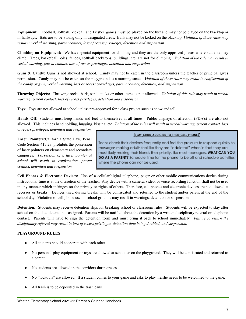**Equipment**: Football, softball, kickball and Frisbee games must be played on the turf and may not be played on the blacktop or in hallways. Bats are to be swung only in designated areas. Balls may not be kicked on the blacktop. *Violation of these rules may result in verbal warning, parent contact, loss of recess privileges, detention and suspension.*

**Climbing on Equipment:** We have special equipment for climbing and they are the only approved places where students may climb. Trees, basketball poles, fences, softball backstops, buildings, etc. are not for climbing. *Violation of the rule may result in verbal warning, parent contact, loss of recess privileges, detention and suspension.*

**Gum & Candy:** Gum is not allowed at school. Candy may not be eaten in the classroom unless the teacher or principal gives permission. Candy may not be eaten on the playground as a morning snack. *Violation of these rules may result in confiscation of the candy or gum, verbal warning, loss or recess provelages, parent contact, detention, and suspension.*

**Throwing Objects:** Throwing rocks, bark, sand, sticks or other items is not allowed. *Violation of this rule may result in verbal warning, parent contact, loss of recess privileges, detention and suspension.*

**Toys:** Toys are not allowed at school unless pre-approved for a class project such as show and tell.

**Hands Off:** Students must keep hands and feet to themselves at all times. Public displays of affection (PDA's) are also not allowed. This includes hand holding, hugging, kissing, etc. *Violation of the rules will result in verbal warning, parent contact, loss*

*of recess privileges, detention and suspension.*

**Laser Pointers:**California State Law, Penal Code Section 417.27, prohibits the possession of laser pointers on elementary and secondary campuses. *Possession of a laser pointer at school will result in confiscation, parent contact, detention and suspension.*

#### IS MY CHILD ADDICTED TO THEIR CELL PHONE?

Teens check their devices frequently and feel the pressure to respond quickly to messages making adults feel like they are "addicted" when in fact they are most likely making their friends their priority, like most teenagers. WHAT CAN YOU DO AS A PARENT? Schedule time for the phone to be off and schedule activities where the phone can not be used.

**Cell Phones & Electronic Devices:** Use of a cellular/digital telephone, pager or other mobile communications device during instructional time is at the discretion of the teacher. Any device with a camera, video, or voice recording function shall not be used in any manner which infringes on the privacy or rights of others. Therefore, cell phones and electronic devices are not allowed at recesses or breaks. Devices used during breaks will be confiscated and returned to the student and/or parent at the end of the school day. Violation of cell phone use on school grounds may result in warnings, detention or suspension.

**Detention:** Students may receive detention slips for breaking school or classroom rules. Students will be expected to stay after school on the date detention is assigned. Parents will be notified about the detention by a written disciplinary referral or telephone contact. Parents will have to sign the detention form and must bring it back to school immediately. *Failure to return the disciplinary referral may result in loss of recess privileges, detention time being doubled, and suspension.*

#### **PLAYGROUND RULES**

- All students should cooperate with each other.
- No personal play equipment or toys are allowed at school or on the playground. They will be confiscated and returned to a parent.
- No students are allowed in the corridors during recess.
- No "lockouts" are allowed. If a student comes to your game and asks to play, he/she needs to be welcomed to the game.
- All trash is to be deposited in the trash cans.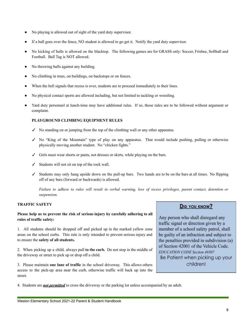- No playing is allowed out of sight of the yard duty supervisor.
- If a ball goes over the fence, NO student is allowed to go get it. Notify the yard duty supervisor.
- No kicking of balls is allowed on the blacktop. The following games are for GRASS only: Soccer, Frisbee, Softball and Football. Ball Tag is NOT allowed.
- No throwing balls against any building.
- No climbing in trees, on buildings, on backstops or on fences.
- When the bell signals that recess is over, students are to proceed immediately to their lines.
- No physical contact sports are allowed including, but not limited to tackling or wrestling.
- Yard duty personnel at lunch-time may have additional rules. If so, those rules are to be followed without argument or complaint.

#### **PLAYGROUND CLIMBING EQUIPMENT RULES**

- $\checkmark$  No standing on or jumping from the top of the climbing wall or any other apparatus.
- ✓ No "King of the Mountain" type of play on any apparatus. That would include pushing, pulling or otherwise physically moving another student. No "chicken fights."
- ✓ Girls must wear shorts or pants, not dresses or skirts, while playing on the bars.
- $\checkmark$  Students will not sit on top of the rock wall.
- ✓ Students may only hang upside down on the pull-up bars. Two hands are to be on the bars at all times. No flipping off of any bars (forward or backwards) is allowed.

Failure to adhere to rules will result in verbal warning, loss of recess privileges, parent contact, detention or *suspension.*

#### **TRAFFIC SAFETY**

#### **Please help us to prevent the risk of serious injury by carefully adhering to all rules of traffic safety:**

1. All students should be dropped off and picked up in the marked yellow zone areas on the school curbs. This rule is only intended to prevent serious injury and to ensure the **safety of all students.**

2. When picking up a child, always pull **to the curb.** Do not stop in the middle of the driveway or street to pick up or drop off a child.

3. Please maintain **one lane of traffic** in the school driveway. This allows others access to the pick-up area near the curb, otherwise traffic will back up into the street.

4. Students are *not permitted* to cross the driveway or the parking lot unless accompanied by an adult.

#### **DID YOU KNOW?**

Any person who shall disregard any traffic signal or direction given by a member of a school safety patrol, shall be guilty of an infraction and subject to the penalties provided in subdivision (a) of Section 42001 of the Vehicle Code. EDUCATION CODE Section 49307 Be Patient when picking up your children!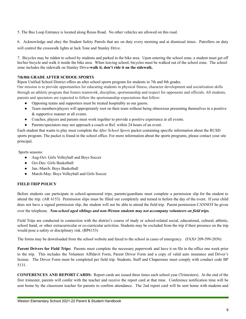5. The Bus Loop Entrance is located along Reuss Road. No other vehicles are allowed on this road.

6. Acknowledge and obey the Student Safety Patrols that are on duty every morning and at dismissal times. Patrollers on duty will control the crosswalk lights at Jack Tone and Stanley Drive.

7. Bicycles may be ridden to school by students and parked in the bike area. Upon entering the school zone, a student must get off his/her bicycle and walk it inside the bike area. When leaving school, bicycles must be walked out of the school zone. The school zone includes the sidewalk on Stanley Drive**-walk it, don't ride it on the sidewalk.**

#### **7th/8th GRADE AFTER SCHOOL SPORTS**

Ripon Unified School District offers an after school sports program for students in 7th and 8th grades.

Our mission is to provide opportunities for educating students in physical fitness, character development and socialization skills through an athletic program that fosters teamwork, discipline, sportsmanship and respect for opponents and officials. All students, parents and spectators are expected to follow the sportsmanship expectations that follow:

- Opposing teams and supporters must be treated hospitably as our guests.
- Team members/players will appropriately root on their team without being obnoxious presenting themselves in a positive & supportive manner at all events.
- Coaches, players and parents must work together to provide a positive experience at all events.
- Parents/spectators may not approach a coach or Ref. within 24 hours of an event.

Each student that wants to play must complete the *After School Sports* packet containing specific information about the RUSD sports program. The packet is found in the school office. For more information about the sports programs, please contact your site principal.

Sports seasons:

- Aug-Oct: Girls Volleyball and Boys Soccer
- Oct-Dec: Girls Basketball
- Jan.-March: Boys Basketball
- March-May: Boys Volleyball and Girls Soccer

#### **FIELD TRIP POLICY**

Before students can participate in school-sponsored trips, parents/guardians must complete a permission slip for the student to attend the trip. (AR 6153) Permission slips must be filled out completely and turned in before the day of the event. If your child does not have a signed permission slip, the student will not be able to attend the field trip. Parent permission CANNOT be given over the telephone. *Non-school aged siblings and non-Weston students may not accompany volunteers on field trips.*

Field Trips are conducted in connection with the district's course of study or school-related social, educational, cultural, athletic, school band, or other extracurricular or co-curricular activities. Students may be excluded from the trip if their presence on the trip would pose a safety or disciplinary risk. (BP6153)

The forms may be downloaded from the school website and faxed to the school in cases of emergency. (FAX# 209-599-2056)

**Parent Drivers for Field Trips:** Parents must complete the necessary paperwork and have it on file in the office one week prior to the trip. This includes the Volunteer Affidavit Form, Parent Driver Form and a copy of valid auto insurance and Driver's license. The Driver Form must be completed per field trip. Students, Staff and Chaperones must comply with conduct code BP 5131.

**CONFERENCES AND REPORT CARDS:** Report cards are issued three times each school year (Trimesters). At the end of the first trimester, parents will confer with the teacher and receive the report card at that time. Conference notification time will be sent home by the classroom teacher for parents to confirm attendance. The 2nd report card will be sent home with students and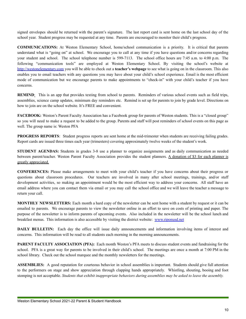signed envelopes should be returned with the parent's signature. The last report card is sent home on the last school day of the school year. Student progress may be requested at any time. Parents are encouraged to monitor their child's progress.

**COMMUNICATIONS:** At Weston Elementary School, home/school communication is a priority. It is critical that parents understand what is "going on" at school. We encourage you to call at any time if you have questions and/or concerns regarding your student and school. The school telephone number is 599-7113. The school office hours are 7:45 a.m. to 4:00 p.m. The following "communication tools" are employed at Weston Elementary School. By visiting the school's website at <http://westonelementary.com> you will be able to check out a **teacher's webpage** to see what is going on in the classroom. This also enables you to email teachers with any questions you may have about your child's school experience. Email is the most efficient mode of communication but we encourage parents to make appointments to "check-in" with your child's teacher if you have concerns.

**REMIND**: This is an app that provides texting from school to parents. Reminders of various school events such as field trips, assemblies, science camp updates, minimum day reminders etc. Remind is set up for parents to join by grade level. Directions on how to join are on the school website. It's FREE and convenient.

**FACEBOOK:** Weston's Parent Faculty Association has a Facebook group for parents of Weston students. This is a "closed group" so you will need to make a request to be added to the group. Parents and staff will post reminders of school events on this page as well. The group name is: Weston PFA

**PROGRESS REPORTS:** Student progress reports are sent home at the mid-trimester when students are receiving failing grades. Report cards are issued three times each year (trimesters) covering approximately twelve weeks of the student's work.

**STUDENT AGENDAS:** Students in grades 3-8 use a planner to organize assignments and as daily communication as needed between parent/teacher. Weston Parent Faculty Association provides the student planners. A donation of \$3 for each planner is greatly appreciated.

**CONFERENCES:** Please make arrangements to meet with your child's teacher if you have concerns about their progress or questions about classroom procedures. Our teachers are involved in many after school meetings, trainings, and/or staff development activities, so making an appointment would be the most efficient way to address your concerns. All staff have an email address where you can contact them via email or you may call the school office and we will leave the teacher a message to return your call.

**MONTHLY NEWSLETTERS:** Each month a hard copy of the newsletter can be sent home with a student by request or it can be emailed to parents. We encourage parents to view the newsletter online in an effort to save on costs of printing and paper. The purpose of the newsletter is to inform parents of upcoming events. Also included in the newsletter will be the school lunch and breakfast menus. This information is also accessible by visiting the district website: [www.riponusd.net](http://www.riponusd.net)

**DAILY BULLETIN:** Each day the office will issue daily announcements and information involving items of interest and concerns. This information will be read to all students each morning in the morning announcements.

**PARENT FACULTY ASSOCIATION (PFA):** Each month Weston's PFA meets to discuss student events and fundraising for the school. PFA is a great way for parents to be involved in their child's school. The meetings are once a month at 7:00 PM in the school library. Check out the school marquee and the monthly newsletters for the meetings.

**ASSEMBLIES:** A good reputation for courteous behavior in school assemblies is important. Students should give full attention to the performers on stage and show appreciation through clapping hands appropriately. Whistling, shouting, booing and foot stomping is not acceptable. Students that exhibit inappropriate behaviors during assemblies may be asked to leave the assembly.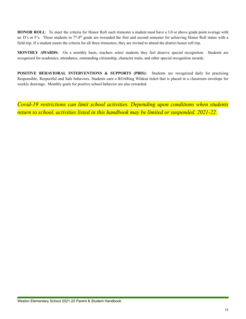**HONOR ROLL**: To meet the criteria for Honor Roll each trimester a student must have a 3.0 or above grade point average with no D's or F's. Those students in  $7<sup>th</sup>-8<sup>th</sup>$  grade are rewarded the first and second semester for achieving Honor Roll status with a field trip. If a student meets the criteria for all three trimesters, they are invited to attend the district honor roll trip.

**MONTHLY AWARDS:** On a monthly basis, teachers select students they feel deserve special recognition. Students are recognized for academics, attendance, outstanding citizenship, character traits, and other special recognition awards.

**POSITIVE BEHAVIORAL INTERVENTIONS & SUPPORTS (PBIS):** Students are recognized daily for practicing Responsible, Respectful and Safe behaviors. Students earn a ROARing Wildcat ticket that is placed in a classroom envelope for weekly drawings. Monthly goals for positive school behavior are also rewarded.

*Covid-19 restrictions can limit school activities. Depending upon conditions when students return to school, activities listed in this handbook may be limited or suspended. 2021-22.*